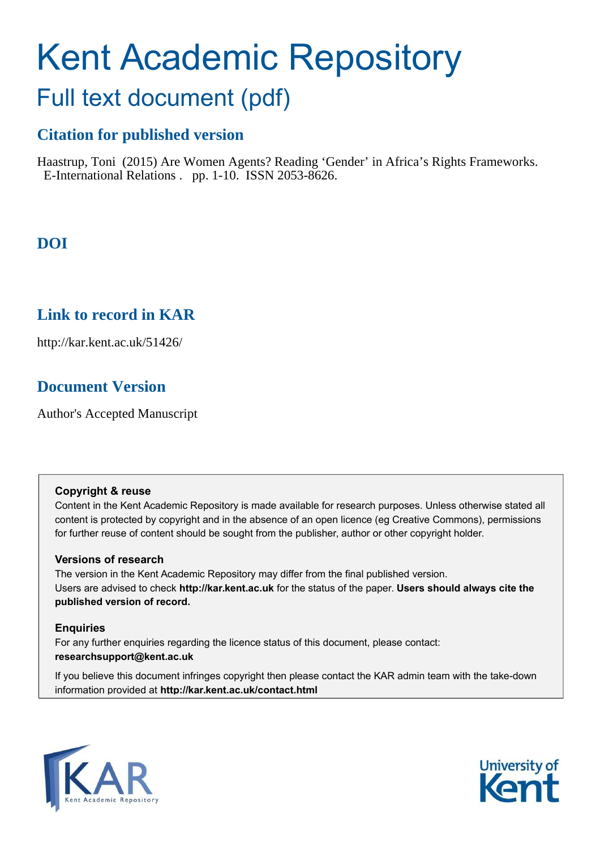# Kent Academic Repository

## Full text document (pdf)

## **Citation for published version**

Haastrup, Toni (2015) Are Women Agents? Reading 'Gender' in Africa's Rights Frameworks. E-International Relations . pp. 1-10. ISSN 2053-8626.

## **DOI**

### **Link to record in KAR**

http://kar.kent.ac.uk/51426/

## **Document Version**

Author's Accepted Manuscript

#### **Copyright & reuse**

Content in the Kent Academic Repository is made available for research purposes. Unless otherwise stated all content is protected by copyright and in the absence of an open licence (eg Creative Commons), permissions for further reuse of content should be sought from the publisher, author or other copyright holder.

#### **Versions of research**

The version in the Kent Academic Repository may differ from the final published version. Users are advised to check **http://kar.kent.ac.uk** for the status of the paper. **Users should always cite the published version of record.**

#### **Enquiries**

For any further enquiries regarding the licence status of this document, please contact: **researchsupport@kent.ac.uk**

If you believe this document infringes copyright then please contact the KAR admin team with the take-down information provided at **http://kar.kent.ac.uk/contact.html**



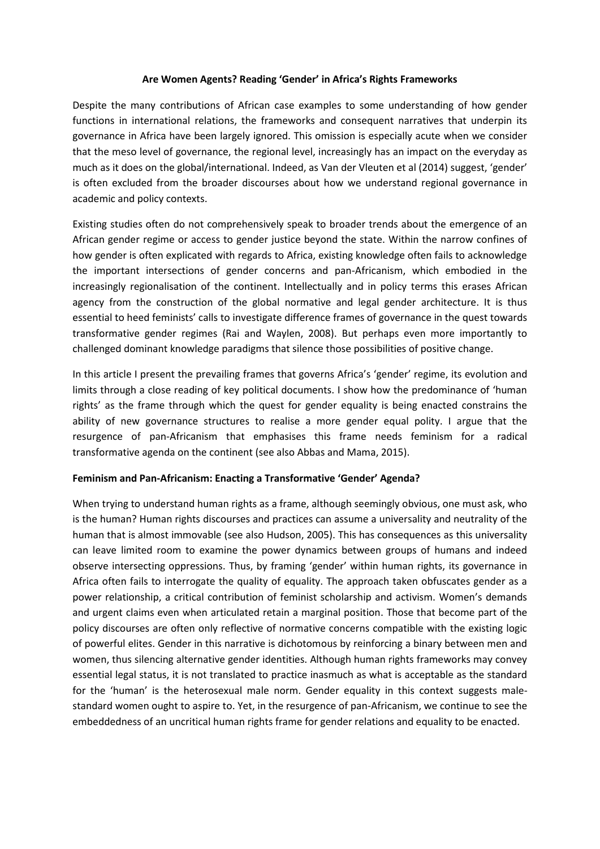#### Are Women Agents? Reading 'Gender' in Africa's Rights Frameworks

Despite the many contributions of African case examples to some understanding of how gender functions in international relations, the frameworks and consequent narratives that underpin its governance in Africa have been largely ignored. This omission is especially acute when we consider that the meso level of governance, the regional level, increasingly has an impact on the everyday as much as it does on the global/international. Indeed, as Van der Vleuten et al (2014) suggest, 'gender' is often excluded from the broader discourses about how we understand regional governance in academic and policy contexts.

Existing studies often do not comprehensively speak to broader trends about the emergence of an African gender regime or access to gender justice beyond the state. Within the narrow confines of how gender is often explicated with regards to Africa, existing knowledge often fails to acknowledge the important intersections of gender concerns and pan-Africanism, which embodied in the increasingly regionalisation of the continent. Intellectually and in policy terms this erases African agency from the construction of the global normative and legal gender architecture. It is thus essential to heed feminists' calls to investigate difference frames of governance in the quest towards transformative gender regimes (Rai and Waylen, 2008). But perhaps even more importantly to challenged dominant knowledge paradigms that silence those possibilities of positive change.

In this article I present the prevailing frames that governs Africa's 'gender' regime, its evolution and limits through a close reading of key political documents. I show how the predominance of 'human rights' as the frame through which the quest for gender equality is being enacted constrains the ability of new governance structures to realise a more gender equal polity. I argue that the resurgence of pan-Africanism that emphasises this frame needs feminism for a radical transformative agenda on the continent (see also Abbas and Mama, 2015).

#### **Feminism and Pan-Africanism: Enacting a Transformative 'Gender' Agenda?**

When trying to understand human rights as a frame, although seemingly obvious, one must ask, who is the human? Human rights discourses and practices can assume a universality and neutrality of the human that is almost immovable (see also Hudson, 2005). This has consequences as this universality can leave limited room to examine the power dynamics between groups of humans and indeed observe intersecting oppressions. Thus, by framing 'gender' within human rights, its governance in Africa often fails to interrogate the quality of equality. The approach taken obfuscates gender as a power relationship, a critical contribution of feminist scholarship and activism. Women's demands and urgent claims even when articulated retain a marginal position. Those that become part of the policy discourses are often only reflective of normative concerns compatible with the existing logic of powerful elites. Gender in this narrative is dichotomous by reinforcing a binary between men and women, thus silencing alternative gender identities. Although human rights frameworks may convey essential legal status, it is not translated to practice inasmuch as what is acceptable as the standard for the 'human' is the heterosexual male norm. Gender equality in this context suggests malestandard women ought to aspire to. Yet, in the resurgence of pan-Africanism, we continue to see the embeddedness of an uncritical human rights frame for gender relations and equality to be enacted.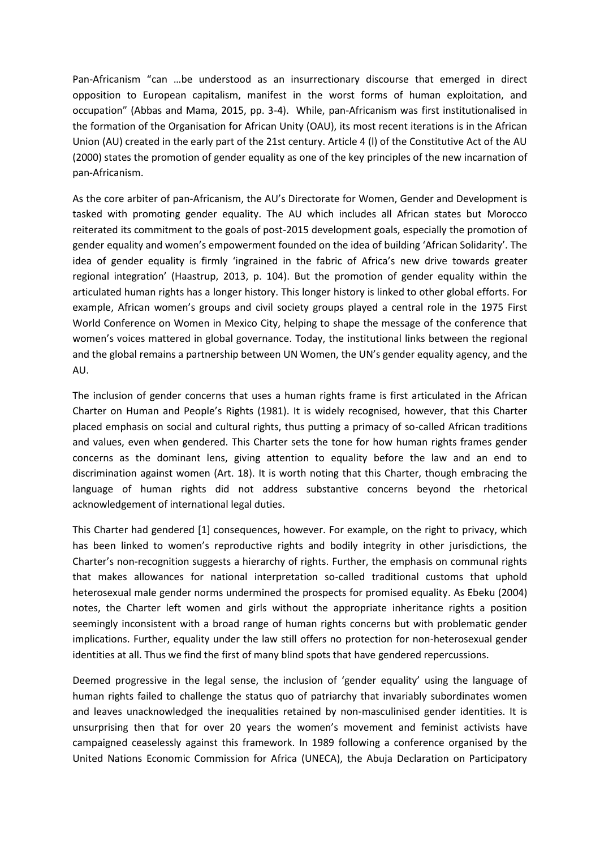Pan-Africanism "can ...be understood as an insurrectionary discourse that emerged in direct opposition to European capitalism, manifest in the worst forms of human exploitation, and occupation" (Abbas and Mama, 2015, pp. 3-4). While, pan-Africanism was first institutionalised in the formation of the Organisation for African Unity (OAU), its most recent iterations is in the African Union (AU) created in the early part of the 21st century. Article 4 (l) of the Constitutive Act of the AU (2000) states the promotion of gender equality as one of the key principles of the new incarnation of pan-Africanism.

As the core arbiter of pan-Africanism, the AU's Directorate for Women, Gender and Development is tasked with promoting gender equality. The AU which includes all African states but Morocco reiterated its commitment to the goals of post-2015 development goals, especially the promotion of gender equality and women's empowerment founded on the idea of building 'African Solidarity'. The idea of gender equality is firmly 'ingrained in the fabric of Africa's new drive towards greater regional integration' (Haastrup, 2013, p. 104). But the promotion of gender equality within the articulated human rights has a longer history. This longer history is linked to other global efforts. For example, African women's groups and civil society groups played a central role in the 1975 First World Conference on Women in Mexico City, helping to shape the message of the conference that women's voices mattered in global governance. Today, the institutional links between the regional and the global remains a partnership between UN Women, the UN's gender equality agency, and the AU.

The inclusion of gender concerns that uses a human rights frame is first articulated in the African Charter on Human and People's Rights (1981). It is widely recognised, however, that this Charter placed emphasis on social and cultural rights, thus putting a primacy of so-called African traditions and values, even when gendered. This Charter sets the tone for how human rights frames gender concerns as the dominant lens, giving attention to equality before the law and an end to discrimination against women (Art. 18). It is worth noting that this Charter, though embracing the language of human rights did not address substantive concerns beyond the rhetorical acknowledgement of international legal duties.

This Charter had gendered [1] consequences, however. For example, on the right to privacy, which has been linked to women's reproductive rights and bodily integrity in other jurisdictions, the Charter's non-recognition suggests a hierarchy of rights. Further, the emphasis on communal rights that makes allowances for national interpretation so-called traditional customs that uphold heterosexual male gender norms undermined the prospects for promised equality. As Ebeku (2004) notes, the Charter left women and girls without the appropriate inheritance rights a position seemingly inconsistent with a broad range of human rights concerns but with problematic gender implications. Further, equality under the law still offers no protection for non-heterosexual gender identities at all. Thus we find the first of many blind spots that have gendered repercussions.

Deemed progressive in the legal sense, the inclusion of 'gender equality' using the language of human rights failed to challenge the status quo of patriarchy that invariably subordinates women and leaves unacknowledged the inequalities retained by non-masculinised gender identities. It is unsurprising then that for over 20 years the women's movement and feminist activists have campaigned ceaselessly against this framework. In 1989 following a conference organised by the United Nations Economic Commission for Africa (UNECA), the Abuja Declaration on Participatory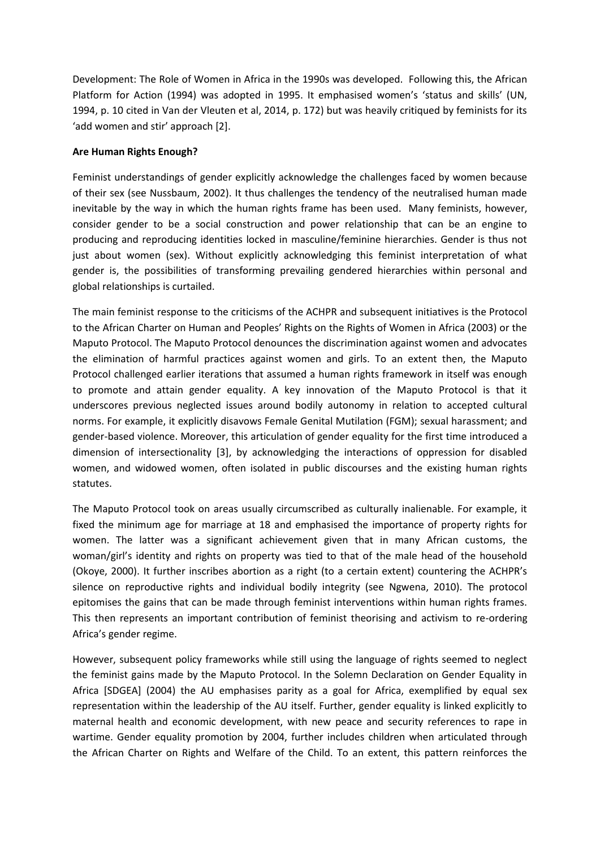Development: The Role of Women in Africa in the 1990s was developed. Following this, the African Platform for Action (1994) was adopted in 1995. It emphasised women's 'status and skills' (UN, 1994, p. 10 cited in Van der Vleuten et al, 2014, p. 172) but was heavily critiqued by feminists for its 'add women and stir' approach [2].

#### **Are Human Rights Enough?**

Feminist understandings of gender explicitly acknowledge the challenges faced by women because of their sex (see Nussbaum, 2002). It thus challenges the tendency of the neutralised human made inevitable by the way in which the human rights frame has been used. Many feminists, however, consider gender to be a social construction and power relationship that can be an engine to producing and reproducing identities locked in masculine/feminine hierarchies. Gender is thus not just about women (sex). Without explicitly acknowledging this feminist interpretation of what gender is, the possibilities of transforming prevailing gendered hierarchies within personal and global relationships is curtailed.

The main feminist response to the criticisms of the ACHPR and subsequent initiatives is the Protocol to the African Charter on Human and Peoples' Rights on the Rights of Women in Africa (2003) or the Maputo Protocol. The Maputo Protocol denounces the discrimination against women and advocates the elimination of harmful practices against women and girls. To an extent then, the Maputo Protocol challenged earlier iterations that assumed a human rights framework in itself was enough to promote and attain gender equality. A key innovation of the Maputo Protocol is that it underscores previous neglected issues around bodily autonomy in relation to accepted cultural norms. For example, it explicitly disavows Female Genital Mutilation (FGM); sexual harassment; and gender-based violence. Moreover, this articulation of gender equality for the first time introduced a dimension of intersectionality [3], by acknowledging the interactions of oppression for disabled women, and widowed women, often isolated in public discourses and the existing human rights statutes.

The Maputo Protocol took on areas usually circumscribed as culturally inalienable. For example, it fixed the minimum age for marriage at 18 and emphasised the importance of property rights for women. The latter was a significant achievement given that in many African customs, the woman/girl's identity and rights on property was tied to that of the male head of the household (Okoye, 2000). It further inscribes abortion as a right (to a certain extent) countering the ACHPR's silence on reproductive rights and individual bodily integrity (see Ngwena, 2010). The protocol epitomises the gains that can be made through feminist interventions within human rights frames. This then represents an important contribution of feminist theorising and activism to re-ordering Africa's gender regime.

However, subsequent policy frameworks while still using the language of rights seemed to neglect the feminist gains made by the Maputo Protocol. In the Solemn Declaration on Gender Equality in Africa [SDGEA] (2004) the AU emphasises parity as a goal for Africa, exemplified by equal sex representation within the leadership of the AU itself. Further, gender equality is linked explicitly to maternal health and economic development, with new peace and security references to rape in wartime. Gender equality promotion by 2004, further includes children when articulated through the African Charter on Rights and Welfare of the Child. To an extent, this pattern reinforces the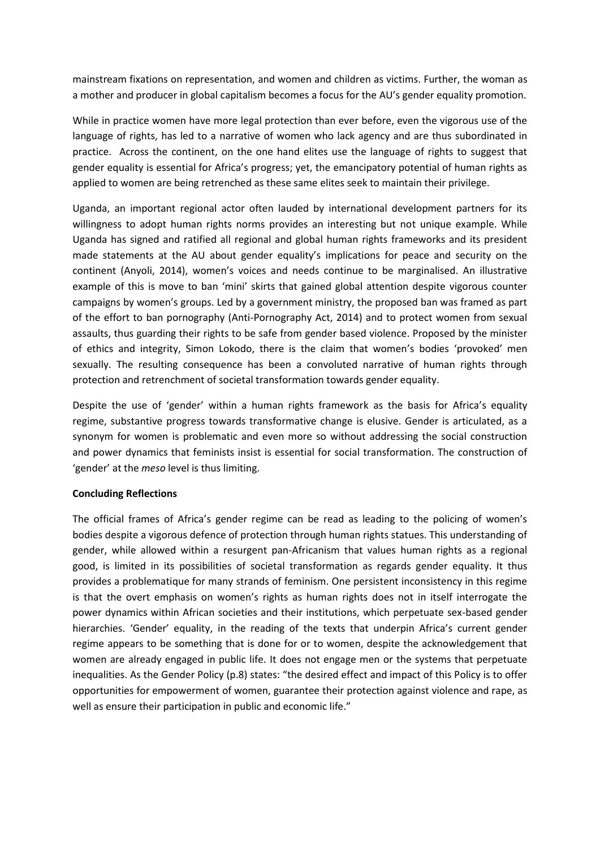mainstream fixations on representation, and women and children as victims. Further, the woman as a mother and producer in global capitalism becomes a focus for the AU's gender equality promotion.

While in practice women have more legal protection than ever before, even the vigorous use of the language of rights, has led to a narrative of women who lack agency and are thus subordinated in practice. Across the continent, on the one hand elites use the language of rights to suggest that gender equality is essential for Africa's progress; yet, the emancipatory potential of human rights as applied to women are being retrenched as these same elites seek to maintain their privilege.

Uganda, an important regional actor often lauded by international development partners for its willingness to adopt human rights norms provides an interesting but not unique example. While Uganda has signed and ratified all regional and global human rights frameworks and its president made statements at the AU about gender equality's implications for peace and security on the continent (Anyoli, 2014), women's voices and needs continue to be marginalised. An illustrative example of this is move to ban 'mini' skirts that gained global attention despite vigorous counter campaigns by women's groups. Led by a government ministry, the proposed ban was framed as part of the effort to ban pornography (Anti-Pornography Act, 2014) and to protect women from sexual assaults, thus guarding their rights to be safe from gender based violence. Proposed by the minister of ethics and integrity, Simon Lokodo, there is the claim that women's bodies 'provoked' men sexually. The resulting consequence has been a convoluted narrative of human rights through protection and retrenchment of societal transformation towards gender equality.

Despite the use of 'gender' within a human rights framework as the basis for Africa's equality regime, substantive progress towards transformative change is elusive. Gender is articulated, as a synonym for women is problematic and even more so without addressing the social construction and power dynamics that feminists insist is essential for social transformation. The construction of 'gender' at the *meso* level is thus limiting.

#### **Concluding Reflections**

The official frames of Africa's gender regime can be read as leading to the policing of women's bodies despite a vigorous defence of protection through human rights statues. This understanding of gender, while allowed within a resurgent pan-Africanism that values human rights as a regional good, is limited in its possibilities of societal transformation as regards gender equality. It thus provides a problematique for many strands of feminism. One persistent inconsistency in this regime is that the overt emphasis on women's rights as human rights does not in itself interrogate the power dynamics within African societies and their institutions, which perpetuate sex-based gender hierarchies. 'Gender' equality, in the reading of the texts that underpin Africa's current gender regime appears to be something that is done for or to women, despite the acknowledgement that women are already engaged in public life. It does not engage men or the systems that perpetuate inequalities. As the Gender Policy (p.8) states: "the desired effect and impact of this Policy is to offer opportunities for empowerment of women, guarantee their protection against violence and rape, as well as ensure their participation in public and economic life."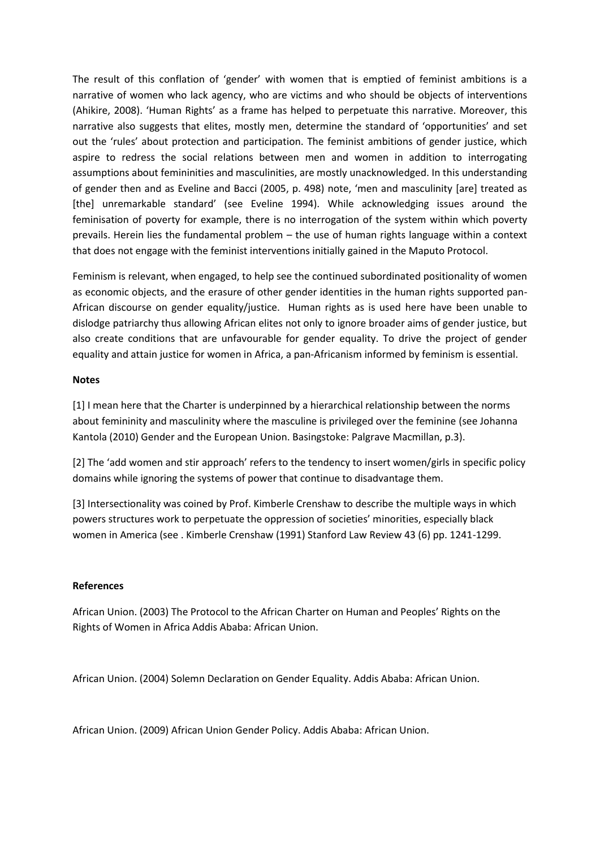The result of this conflation of 'gender' with women that is emptied of feminist ambitions is a narrative of women who lack agency, who are victims and who should be objects of interventions (Ahikire, 2008). 'Human Rights' as a frame has helped to perpetuate this narrative. Moreover, this narrative also suggests that elites, mostly men, determine the standard of 'opportunities' and set out the 'rules' about protection and participation. The feminist ambitions of gender justice, which aspire to redress the social relations between men and women in addition to interrogating assumptions about femininities and masculinities, are mostly unacknowledged. In this understanding of gender then and as Eveline and Bacci (2005, p. 498) note, 'men and masculinity [are] treated as [the] unremarkable standard' (see Eveline 1994). While acknowledging issues around the feminisation of poverty for example, there is no interrogation of the system within which poverty prevails. Herein lies the fundamental problem – the use of human rights language within a context that does not engage with the feminist interventions initially gained in the Maputo Protocol.

Feminism is relevant, when engaged, to help see the continued subordinated positionality of women as economic objects, and the erasure of other gender identities in the human rights supported pan-African discourse on gender equality/justice. Human rights as is used here have been unable to dislodge patriarchy thus allowing African elites not only to ignore broader aims of gender justice, but also create conditions that are unfavourable for gender equality. To drive the project of gender equality and attain justice for women in Africa, a pan-Africanism informed by feminism is essential.

#### **Notes**

[1] I mean here that the Charter is underpinned by a hierarchical relationship between the norms about femininity and masculinity where the masculine is privileged over the feminine (see Johanna Kantola (2010) Gender and the European Union. Basingstoke: Palgrave Macmillan, p.3).

[2] The 'add women and stir approach' refers to the tendency to insert women/girls in specific policy domains while ignoring the systems of power that continue to disadvantage them.

[3] Intersectionality was coined by Prof. Kimberle Crenshaw to describe the multiple ways in which powers structures work to perpetuate the oppression of societies' minorities, especially black women in America (see . Kimberle Crenshaw (1991) Stanford Law Review 43 (6) pp. 1241-1299.

#### **References**

African Union. (2003) The Protocol to the African Charter on Human and Peoples' Rights on the Rights of Women in Africa Addis Ababa: African Union.

African Union. (2004) Solemn Declaration on Gender Equality. Addis Ababa: African Union.

African Union. (2009) African Union Gender Policy. Addis Ababa: African Union.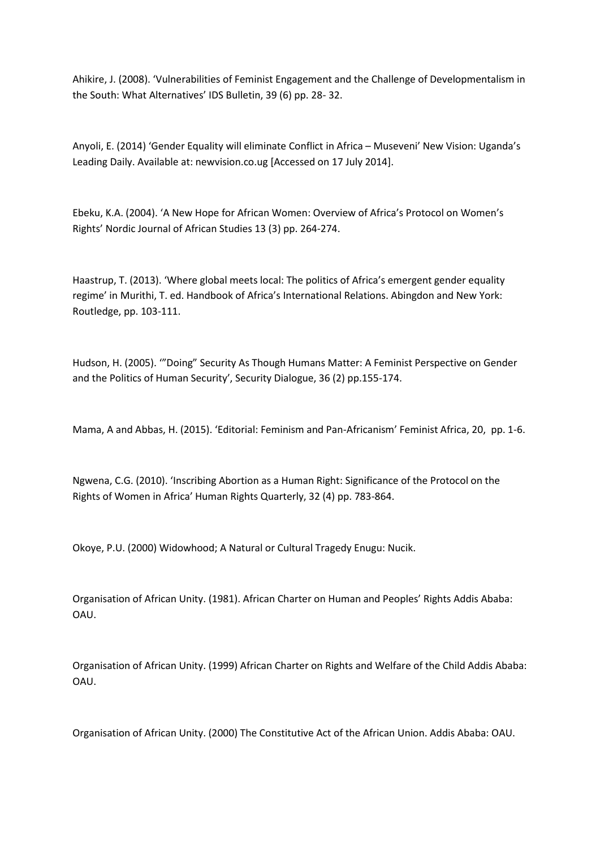Ahikire, J. (2008). 'Vulnerabilities of Feminist Engagement and the Challenge of Developmentalism in the South: What Alternatives' IDS Bulletin, 39 (6) pp. 28- 32.

Anyoli, E. (2014) 'Gender Equality will eliminate Conflict in Africa - Museveni' New Vision: Uganda's Leading Daily. Available at: newvision.co.ug [Accessed on 17 July 2014].

Ebeku, K.A. (2004). 'A New Hope for African Women: Overview of Africa's Protocol on Women's Rights' Nordic Journal of African Studies 13 (3) pp. 264-274.

Haastrup, T. (2013). 'Where global meets local: The politics of Africa's emergent gender equality regime' in Murithi, T. ed. Handbook of Africa's International Relations. Abingdon and New York: Routledge, pp. 103-111.

Hudson, H. (2005). ""Doing" Security As Though Humans Matter: A Feminist Perspective on Gender and the Politics of Human Security', Security Dialogue, 36 (2) pp.155-174.

Mama, A and Abbas, H. (2015). 'Editorial: Feminism and Pan-Africanism' Feminist Africa, 20, pp. 1-6.

Ngwena, C.G. (2010). 'Inscribing Abortion as a Human Right: Significance of the Protocol on the Rights of Women in Africa' Human Rights Quarterly, 32 (4) pp. 783-864.

Okoye, P.U. (2000) Widowhood; A Natural or Cultural Tragedy Enugu: Nucik.

Organisation of African Unity. (1981). African Charter on Human and Peoples' Rights Addis Ababa: OAU.

Organisation of African Unity. (1999) African Charter on Rights and Welfare of the Child Addis Ababa: OAU.

Organisation of African Unity. (2000) The Constitutive Act of the African Union. Addis Ababa: OAU.